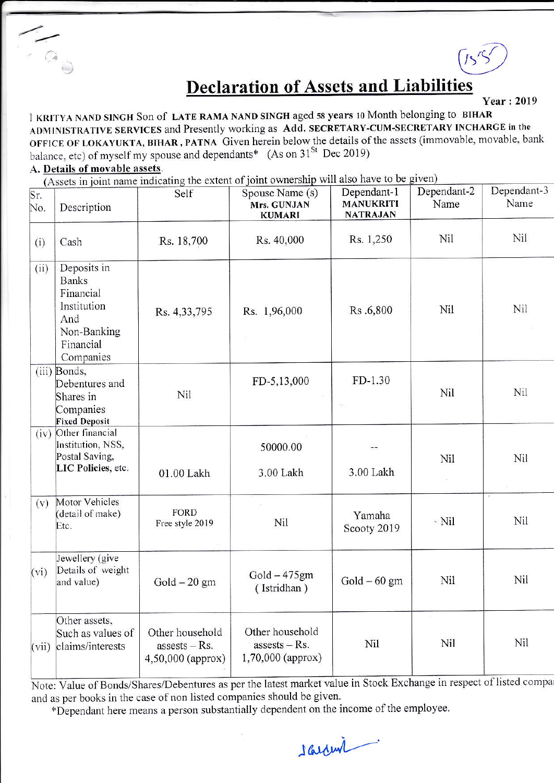## **Declaration of Assets and Liabilities**

**Year: 2019** 

I KRITYA NAND SINGH Son of LATE RAMA NAND SINGH aged 58 years 10 Month belonging to BIHAR ADMINISTRATIVE SERVICES and Presently working as Add. SECRETARY-CUM-SECRETARY INCHARGE in the OFFICE OF LOKAYUKTA, BIHAR, PATNA Given herein below the details of the assets (immovable, movable, bank balance, etc) of myself my spouse and dependants<sup>\*</sup> (As on 31<sup>St</sup> Dec 2019)

## A. Details of movable assets.

(Assets in joint name indicating the extent of joint ownership will also have to be given)

| $\overline{\text{Sr.}}$<br>No. | Description                                                                                             | Self                                                    | Spouse Name (s)<br>Mrs. GUNJAN<br><b>KUMARI</b>         | Dependant-1<br><b>MANUKRITI</b><br><b>NATRAJAN</b> | Dependant-2<br>Name | Dependant-3<br>Name |
|--------------------------------|---------------------------------------------------------------------------------------------------------|---------------------------------------------------------|---------------------------------------------------------|----------------------------------------------------|---------------------|---------------------|
| (i)                            | Cash                                                                                                    | Rs. 18,700                                              | Rs. 40,000                                              | Rs. 1,250                                          | Nil                 | Nil                 |
| (ii)                           | Deposits in<br><b>Banks</b><br>Financial<br>Institution<br>And<br>Non-Banking<br>Financial<br>Companies | Rs. 4,33,795                                            | Rs. 1,96,000                                            | Rs.6,800                                           | Nil                 | Nil                 |
|                                | (iii) Bonds,<br>Debentures and<br>Shares in<br>Companies<br><b>Fixed Deposit</b>                        | Nil                                                     | FD-5,13,000                                             | $FD-1.30$<br>$\psi_{\mathcal{R}}$                  | Nil                 | Nil                 |
| (iv)                           | Other financial<br>Institution, NSS,<br>Postal Saving,<br>LIC Policies, etc.                            | 01.00 Lakh                                              | 50000.00<br>3.00 Lakh                                   | 3.00 Lakh                                          | Nil                 | Nil                 |
| (v)                            | Motor Vehicles<br>(detail of make)<br>Etc.                                                              | <b>FORD</b><br>Free style 2019                          | Nil                                                     | Yamaha<br>Scooty 2019                              | $\sim$ Nil          | Nil                 |
| (vi)                           | Jewellery (give<br>Details of weight<br>and value)                                                      | $Gold - 20 gm$                                          | $Gold - 475gm$<br>(Istridhan)                           | $Gold - 60$ gm                                     | Nil                 | Nil                 |
| (vii)                          | Other assets,<br>Such as values of<br>claims/interests                                                  | Other household<br>$assests - Rs.$<br>4,50,000 (approx) | Other household<br>$assests - Rs.$<br>1,70,000 (approx) | Nil                                                | Nil                 | Nil                 |

Note: Value of Bonds/Shares/Debentures as per the latest market value in Stock Exchange in respect of listed compa and as per books in the case of non listed companies should be given.

\*Dependant here means a person substantially dependent on the income of the employee.

sarrow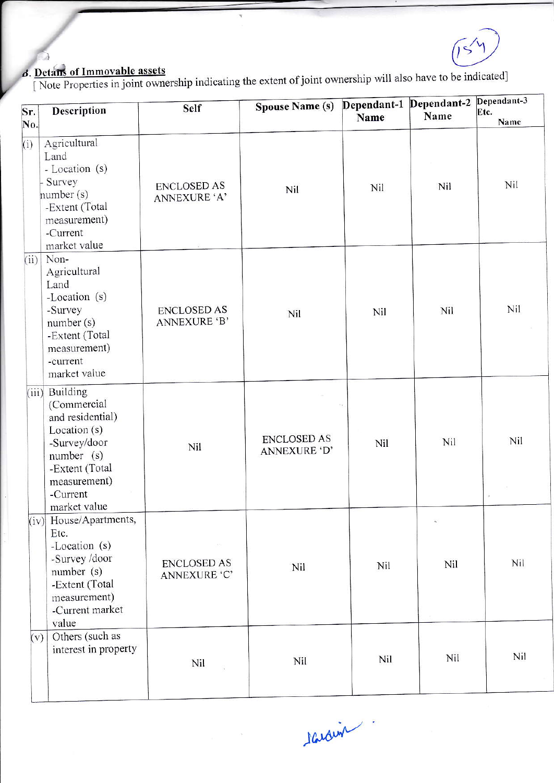$\overline{1}$ 

Э

 $\beta$ . Detains of Immovable assets<br>[Note Properties in joint ownership indicating the extent of joint ownership will also have to be indicated]

| Sr.<br>No. | Description                                                                                                                                                  | Self                               | <b>Spouse Name (s)</b>             | Dependant-1 Dependant-2<br>Name | Name | Dependant-3<br>Etc.<br>Name |
|------------|--------------------------------------------------------------------------------------------------------------------------------------------------------------|------------------------------------|------------------------------------|---------------------------------|------|-----------------------------|
| (i)        | Agricultural<br>Land<br>- Location (s)<br>Survey<br>number (s)<br>-Extent (Total<br>measurement)<br>-Current<br>market value                                 | <b>ENCLOSED AS</b><br>ANNEXURE 'A' | Nil                                | Nil                             | Nil  | Nil                         |
|            | $(ii)$ Non-<br>Agricultural<br>Land<br>-Location (s)<br>-Survey<br>number (s)<br>-Extent (Total<br>measurement)<br>-current<br>market value                  | <b>ENCLOSED AS</b><br>ANNEXURE 'B' | Nil                                | Nil                             | Nil  | Nil                         |
|            | (iii) Building<br>(Commercial<br>and residential)<br>Location (s)<br>-Survey/door<br>number (s)<br>-Extent (Total<br>measurement)<br>-Current                | Nil                                | <b>ENCLOSED AS</b><br>ANNEXURE 'D' | Nil                             | Nil  | Nil                         |
|            | market value<br>(iv) House/Apartments,<br>Etc.<br>-Location (s)<br>-Survey /door<br>number (s)<br>-Extent (Total<br>measurement)<br>-Current market<br>value | <b>ENCLOSED AS</b><br>ANNEXURE 'C' | Nil                                | Nil                             | Nil  | Nil                         |
| (v)        | Others (such as<br>interest in property                                                                                                                      | Nil                                | Nil                                | Nil                             | Nil  | Nil                         |

Nardin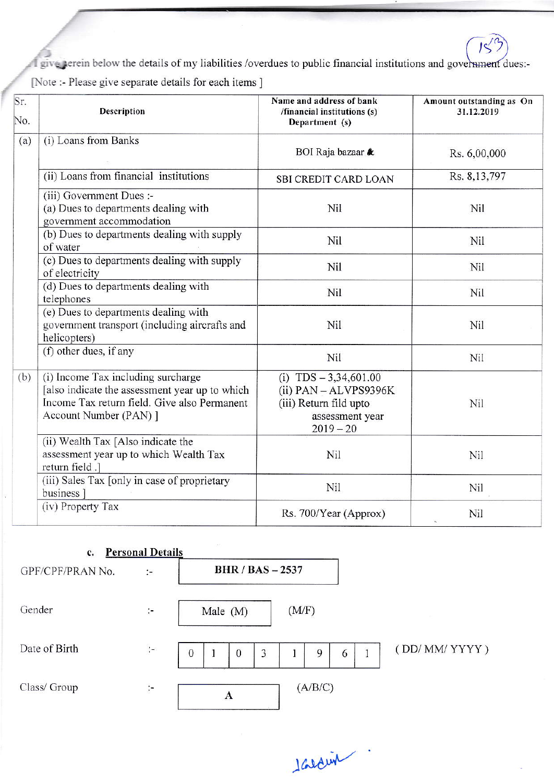T give perein below the details of my liabilities /overdues to public financial institutions and government dues:-[Note :- Please give separate details for each items ]

| Sr.<br>No. | Description                                                                                                                                                    | Name and address of bank<br>/financial institutions (s)<br>Department (s)                                        | Amount outstanding as On<br>31.12.2019 |
|------------|----------------------------------------------------------------------------------------------------------------------------------------------------------------|------------------------------------------------------------------------------------------------------------------|----------------------------------------|
| (a)        | (i) Loans from Banks                                                                                                                                           | BOI Raja bazaar &                                                                                                | Rs. 6,00,000                           |
|            | (ii) Loans from financial institutions                                                                                                                         | SBI CREDIT CARD LOAN                                                                                             | Rs. 8,13,797                           |
|            | (iii) Government Dues :-<br>(a) Dues to departments dealing with<br>government accommodation                                                                   | Nil                                                                                                              | Nil                                    |
|            | (b) Dues to departments dealing with supply<br>of water                                                                                                        | Nil                                                                                                              | Nil                                    |
|            | (c) Dues to departments dealing with supply<br>of electricity                                                                                                  | Nil                                                                                                              | Nil                                    |
|            | (d) Dues to departments dealing with<br>telephones                                                                                                             | Nil                                                                                                              | Nil                                    |
|            | (e) Dues to departments dealing with<br>government transport (including aircrafts and<br>helicopters)                                                          | Nil                                                                                                              | Nil                                    |
|            | (f) other dues, if any                                                                                                                                         | Nil                                                                                                              | Nil                                    |
| (b)        | (i) Income Tax including surcharge<br>[also indicate the assessment year up to which<br>Income Tax return field. Give also Permanent<br>Account Number (PAN) ] | (i) $TDS - 3,34,601.00$<br>$(ii)$ PAN $-$ ALVPS9396K<br>(iii) Return fild upto<br>assessment year<br>$2019 - 20$ | Nil                                    |
|            | (ii) Wealth Tax [Also indicate the<br>assessment year up to which Wealth Tax<br>return field .]                                                                | Nil                                                                                                              | Nil                                    |
|            | (iii) Sales Tax [only in case of proprietary<br>business <sup>1</sup>                                                                                          | Nil                                                                                                              | Nil                                    |
|            | (iv) Property Tax                                                                                                                                              | Rs. 700/Year (Approx)                                                                                            | Nil                                    |

| c.               | <b>Personal Details</b> |                               |         |              |
|------------------|-------------------------|-------------------------------|---------|--------------|
| GPF/CPF/PRAN No. | $\mathcal{L}$           | <b>BHR / BAS - 2537</b>       |         |              |
| Gender           | $\ddot{\phantom{a}}$    | Male $(M)$                    | (M/F)   |              |
| Date of Birth    | $\ddot{\cdot}$          | 3<br>$\bf{0}$<br>$\mathbf{0}$ | 9<br>6  | (DD/MM/YYYY) |
| Class/ Group     | Ţ.                      | A                             | (A/B/C) |              |

I Gedeur